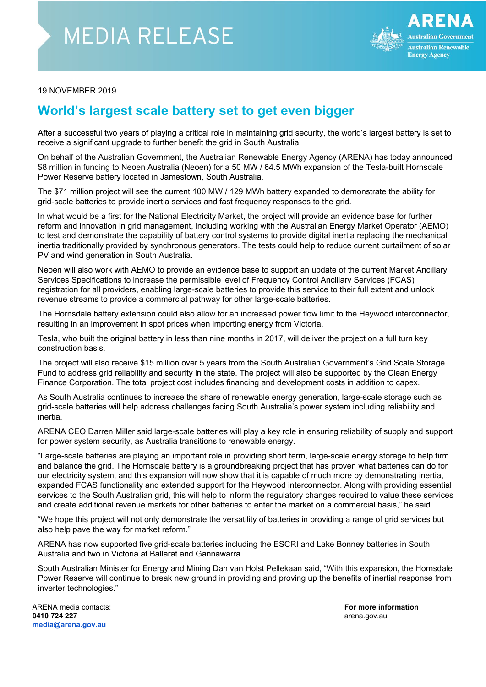## **MEDIA RELEASE**



## 19 NOVEMBER 2019

## **World's largest scale battery set to get even bigger**

After a successful two years of playing a critical role in maintaining grid security, the world's largest battery is set to receive a significant upgrade to further benefit the grid in South Australia.

On behalf of the Australian Government, the Australian Renewable Energy Agency (ARENA) has today announced \$8 million in funding to Neoen Australia (Neoen) for a 50 MW / 64.5 MWh expansion of the Tesla-built Hornsdale Power Reserve battery located in Jamestown, South Australia.

The \$71 million project will see the current 100 MW / 129 MWh battery expanded to demonstrate the ability for grid-scale batteries to provide inertia services and fast frequency responses to the grid.

In what would be a first for the National Electricity Market, the project will provide an evidence base for further reform and innovation in grid management, including working with the Australian Energy Market Operator (AEMO) to test and demonstrate the capability of battery control systems to provide digital inertia replacing the mechanical inertia traditionally provided by synchronous generators. The tests could help to reduce current curtailment of solar PV and wind generation in South Australia.

Neoen will also work with AEMO to provide an evidence base to support an update of the current Market Ancillary Services Specifications to increase the permissible level of Frequency Control Ancillary Services (FCAS) registration for all providers, enabling large-scale batteries to provide this service to their full extent and unlock revenue streams to provide a commercial pathway for other large-scale batteries.

The Hornsdale battery extension could also allow for an increased power flow limit to the Heywood interconnector, resulting in an improvement in spot prices when importing energy from Victoria.

Tesla, who built the original battery in less than nine months in 2017, will deliver the project on a full turn key construction basis.

The project will also receive \$15 million over 5 years from the South Australian Government's Grid Scale Storage Fund to address grid reliability and security in the state. The project will also be supported by the Clean Energy Finance Corporation. The total project cost includes financing and development costs in addition to capex.

As South Australia continues to increase the share of renewable energy generation, large-scale storage such as grid-scale batteries will help address challenges facing South Australia's power system including reliability and inertia.

ARENA CEO Darren Miller said large-scale batteries will play a key role in ensuring reliability of supply and support for power system security, as Australia transitions to renewable energy.

"Large-scale batteries are playing an important role in providing short term, large-scale energy storage to help firm and balance the grid. The Hornsdale battery is a groundbreaking project that has proven what batteries can do for our electricity system, and this expansion will now show that it is capable of much more by demonstrating inertia, expanded FCAS functionality and extended support for the Heywood interconnector. Along with providing essential services to the South Australian grid, this will help to inform the regulatory changes required to value these services and create additional revenue markets for other batteries to enter the market on a commercial basis," he said.

"We hope this project will not only demonstrate the versatility of batteries in providing a range of grid services but also help pave the way for market reform."

ARENA has now supported five grid-scale batteries including the ESCRI and Lake Bonney batteries in South Australia and two in Victoria at Ballarat and Gannawarra.

South Australian Minister for Energy and Mining Dan van Holst Pellekaan said, "With this expansion, the Hornsdale Power Reserve will continue to break new ground in providing and proving up the benefits of inertial response from inverter technologies."

ARENA media contacts: **For more information 0410 724 227** arena.gov.au **[media@arena.gov.au](mailto:media@arena.gov.au)**